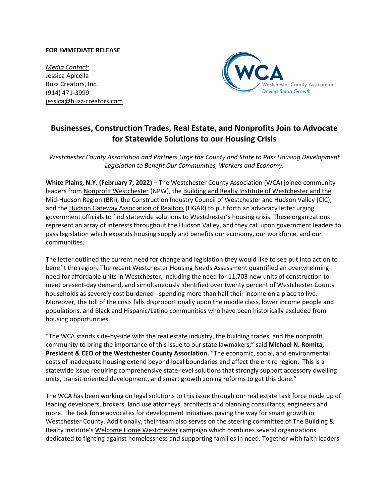## **FOR IMMEDIATE RELEASE**

*Media Contact:* Jessica Apicella Buzz Creators, Inc. (914) 471-3999 jessica@buzz-creators.com



## **Businesses, Construction Trades, Real Estate, and Nonprofits Join to Advocate for Statewide Solutions to our Housing Crisis**

*Westchester County Association and Partners Urge the County and State to Pass Housing Development Legislation to Benefit Our Communities, Workers and Economy.* 

**White Plains, N.Y. (February 7, 2022)** – Th[e](http://www.westchester.org/) [Westchester County Association](http://www.westchester.org/) (WCA) joined community leaders from [Nonprofit Westchester](https://npwestchester.org/) (NPW), the [Building and Realty Institute of Westchester and the](https://www.buildersinstitute.org/)  [Mid-Hudson Region](https://www.buildersinstitute.org/) (BRI), the [Construction Industry Council of Westchester and Hudson Valley](https://cicbca.org/) (CIC), and th[e Hudson Gateway Association of Realtors](https://www.hgar.com/) (HGAR) to put forth an advocacy letter urging government officials to find statewide solutions to Westchester's housing crisis. These organizations represent an array of interests throughout the Hudson Valley, and they call upon government leaders to pass legislation which expands housing supply and benefits our economy, our workforce, and our communities.

The letter outlined the current need for change and legislation they would like to see put into action to benefit the region. The recent [Westchester Housing Needs Assessment](https://homes.westchestergov.com/resources/housing-needs-assessment) quantified an overwhelming need for affordable units in Westchester, including the need for 11,703 new units of construction to meet present-day demand, and simultaneously identified over twenty percent of Westchester County households as severely cost burdened - spending more than half their income on a place to live. Moreover, the toll of the crisis falls disproportionally upon the middle class, lower income people and populations, and Black and Hispanic/Latino communities who have been historically excluded from housing opportunities.

"The WCA stands side-by-side with the real estate industry, the building trades, and the nonprofit community to bring the importance of this issue to our state lawmakers," said **Michael N. Romita, President & CEO of the Westchester County Association.** "The economic, social, and environmental costs of inadequate housing extend beyond local boundaries and affect the entire region. This is a statewide issue requiring comprehensive state-level solutions that strongly support accessory dwelling units, transit-oriented development, and smart growth zoning reforms to get this done."

The WCA has been working on legal solutions to this issue through our real estate task force made up of leading developers, brokers, land use attorneys, architects and planning consultants, engineers and more. The task force advocates for development initiatives paving the way for smart growth in Westchester County. Additionally, their team also serves on the steering committee of The Building & Realty Institute's [Welcome Home Westchester](https://www.buildersinstitute.org/whw/) campaign which combines several organizations dedicated to fighting against homelessness and supporting families in need. Together with faith leaders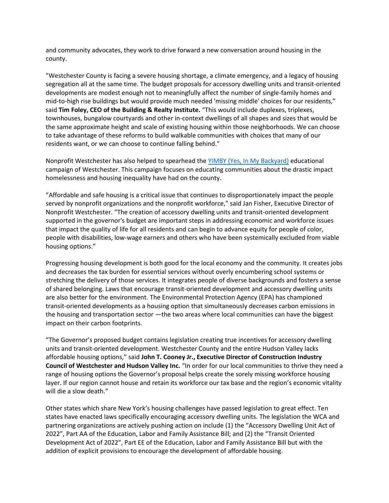and community advocates, they work to drive forward a new conversation around housing in the county.

"Westchester County is facing a severe housing shortage, a climate emergency, and a legacy of housing segregation all at the same time. The budget proposals for accessory dwelling units and transit-oriented developments are modest enough not to meaningfully affect the number of single-family homes and mid-to-high rise buildings but would provide much needed 'missing middle' choices for our residents," said **Tim Foley, CEO of the Building & Realty Institute.** "This would include duplexes, triplexes, townhouses, bungalow courtyards and other in-context dwellings of all shapes and sizes that would be the same approximate height and scale of existing housing within those neighborhoods. We can choose to take advantage of these reforms to build walkable communities with choices that many of our residents want, or we can choose to continue falling behind."

Nonprofit Westchester has also helped to spearhead the YIMBY [\(Yes, In My Backyard\)](https://npwestchester.org/resources/Documents/Affordable%20Housing%20and%20Westchester) educational campaign of Westchester. This campaign focuses on educating communities about the drastic impact homelessness and housing inequality have had on the county.

"Affordable and safe housing is a critical issue that continues to disproportionately impact the people served by nonprofit organizations and the nonprofit workforce," said Jan Fisher, Executive Director of Nonprofit Westchester. "The creation of accessory dwelling units and transit-oriented development supported in the governor's budget are important steps in addressing economic and workforce issues that impact the quality of life for all residents and can begin to advance equity for people of color, people with disabilities, low-wage earners and others who have been systemically excluded from viable housing options."

Progressing housing development is both good for the local economy and the community. It creates jobs and decreases the tax burden for essential services without overly encumbering school systems or stretching the delivery of those services. It integrates people of diverse backgrounds and fosters a sense of shared belonging. Laws that encourage transit-oriented development and accessory dwelling units are also better for the environment. The Environmental Protection Agency (EPA) has championed transit-oriented developments as a housing option that simultaneously decreases carbon emissions in the housing and transportation sector —the two areas where local communities can have the biggest impact on their carbon footprints.

"The Governor's proposed budget contains legislation creating true incentives for accessory dwelling units and transit-oriented development. Westchester County and the entire Hudson Valley lacks affordable housing options," said **John T. Cooney Jr., Executive Director of Construction Industry Council of Westchester and Hudson Valley Inc.** "In order for our local communities to thrive they need a range of housing options the Governor's proposal helps create the sorely missing workforce housing layer. If our region cannot house and retain its workforce our tax base and the region's economic vitality will die a slow death."

Other states which share New York's housing challenges have passed legislation to great effect. Ten states have enacted laws specifically encouraging accessory dwelling units. The legislation the WCA and partnering organizations are actively pushing action on include (1) the "Accessory Dwelling Unit Act of 2022", Part AA of the Education, Labor and Family Assistance Bill; and (2) the "Transit Oriented Development Act of 2022", Part EE of the Education, Labor and Family Assistance Bill but with the addition of explicit provisions to encourage the development of affordable housing.